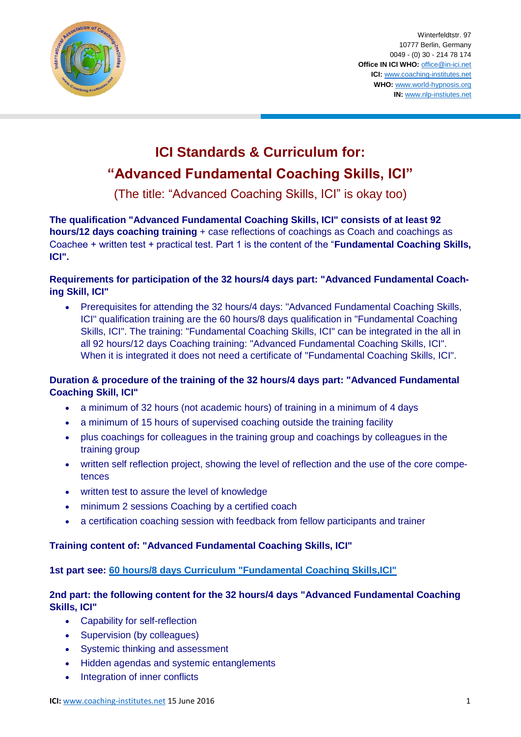

Winterfeldtstr. 97 10777 Berlin, Germany 0049 - (0) 30 - 214 78 174 **Office IN ICI WHO:** [office@in-ici.net](mailto:office@in-ici.net) **ICI:** [www.coaching-institutes.net](http://www.coaching-institutes.net/) **WHO:** [www.world-hypnosis.org](http://www.world-hypnosis.org/) **IN:** [www.nlp-instiutes.net](http://www.nlp-instiutes.net/)

# **ICI Standards & Curriculum for: "Advanced Fundamental Coaching Skills, ICI"**

(The title: "Advanced Coaching Skills, ICI" is okay too)

**The qualification "Advanced Fundamental Coaching Skills, ICI" consists of at least 92 hours/12 days coaching training** + case reflections of coachings as Coach and coachings as Coachee + written test + practical test. Part 1 is the content of the "**Fundamental Coaching Skills, ICI".**

## **Requirements for participation of the 32 hours/4 days part: "Advanced Fundamental Coaching Skill, ICI"**

 Prerequisites for attending the 32 hours/4 days: "Advanced Fundamental Coaching Skills, ICI" qualification training are the 60 hours/8 days qualification in "Fundamental Coaching Skills, ICI". The training: "Fundamental Coaching Skills, ICI" can be integrated in the all in all 92 hours/12 days Coaching training: "Advanced Fundamental Coaching Skills, ICI". When it is integrated it does not need a certificate of "Fundamental Coaching Skills, ICI".

## **Duration & procedure of the training of the 32 hours/4 days part: "Advanced Fundamental Coaching Skill, ICI"**

- a minimum of 32 hours (not academic hours) of training in a minimum of 4 days
- a minimum of 15 hours of supervised coaching outside the training facility
- plus coachings for colleagues in the training group and coachings by colleagues in the training group
- written self reflection project, showing the level of reflection and the use of the core competences
- written test to assure the level of knowledge
- minimum 2 sessions Coaching by a certified coach
- a certification coaching session with feedback from fellow participants and trainer

## **Training content of: "Advanced Fundamental Coaching Skills, ICI"**

### **1st part see: [60 hours/8 days Curriculum "Fundamental Coaching Skills,ICI"](http://www.coaching-institutes.net/static/fundamental-curriculum.php)**

### **2nd part: the following content for the 32 hours/4 days "Advanced Fundamental Coaching Skills, ICI"**

- Capability for self-reflection
- Supervision (by colleagues)
- Systemic thinking and assessment
- Hidden agendas and systemic entanglements
- Integration of inner conflicts